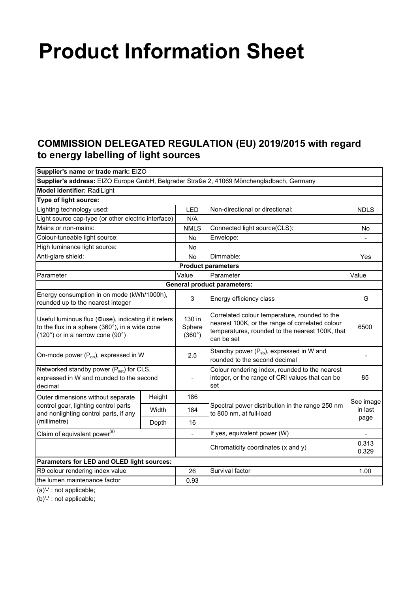## **Product Information Sheet**

## **COMMISSION DELEGATED REGULATION (EU) 2019/2015 with regard to energy labelling of light sources**

| Supplier's name or trade mark: EIZO                                                                                                        |        |                                   |                                                                                                                                                                   |                          |
|--------------------------------------------------------------------------------------------------------------------------------------------|--------|-----------------------------------|-------------------------------------------------------------------------------------------------------------------------------------------------------------------|--------------------------|
|                                                                                                                                            |        |                                   | Supplier's address: EIZO Europe GmbH, Belgrader Straße 2, 41069 Mönchengladbach, Germany                                                                          |                          |
| Model identifier: RadiLight                                                                                                                |        |                                   |                                                                                                                                                                   |                          |
| Type of light source:                                                                                                                      |        |                                   |                                                                                                                                                                   |                          |
| Lighting technology used:                                                                                                                  |        | LED                               | Non-directional or directional:                                                                                                                                   | <b>NDLS</b>              |
| Light source cap-type (or other electric interface)                                                                                        |        | N/A                               |                                                                                                                                                                   |                          |
| Mains or non-mains:                                                                                                                        |        | <b>NMLS</b>                       | Connected light source(CLS):                                                                                                                                      | <b>No</b>                |
| Colour-tuneable light source:                                                                                                              |        | No                                | Envelope:                                                                                                                                                         | $\frac{1}{2}$            |
| High luminance light source:                                                                                                               |        | No                                |                                                                                                                                                                   |                          |
| Anti-glare shield:                                                                                                                         |        | No                                | Dimmable:                                                                                                                                                         | Yes                      |
|                                                                                                                                            |        |                                   | <b>Product parameters</b>                                                                                                                                         |                          |
| Parameter                                                                                                                                  |        | Value                             | Parameter                                                                                                                                                         | Value                    |
|                                                                                                                                            |        |                                   | <b>General product parameters:</b>                                                                                                                                |                          |
| Energy consumption in on mode (kWh/1000h),<br>rounded up to the nearest integer                                                            |        | 3                                 | Energy efficiency class                                                                                                                                           | G                        |
| Useful luminous flux (Ouse), indicating if it refers<br>to the flux in a sphere (360°), in a wide cone<br>(120°) or in a narrow cone (90°) |        | 130 in<br>Sphere<br>$(360^\circ)$ | Correlated colour temperature, rounded to the<br>nearest 100K, or the range of correlated colour<br>temperatures, rounded to the nearest 100K, that<br>can be set | 6500                     |
| On-mode power $(P_{on})$ , expressed in W                                                                                                  |        | 2.5                               | Standby power $(P_{sb})$ , expressed in W and<br>rounded to the second decimal                                                                                    |                          |
| Networked standby power (P <sub>net</sub> ) for CLS,<br>expressed in W and rounded to the second<br>decimal                                |        |                                   | Colour rendering index, rounded to the nearest<br>integer, or the range of CRI values that can be<br>set                                                          | 85                       |
| Outer dimensions without separate<br>control gear, lighting control parts<br>and nonlighting control parts, if any<br>(millimetre)         | Height | 186                               | Spectral power distribution in the range 250 nm<br>to 800 nm, at full-load                                                                                        | See image                |
|                                                                                                                                            | Width  | 184                               |                                                                                                                                                                   | in last                  |
|                                                                                                                                            | Depth  | 16                                |                                                                                                                                                                   | page                     |
| Claim of equivalent power <sup>(a)</sup>                                                                                                   |        | $\blacksquare$                    | If yes, equivalent power (W)                                                                                                                                      | $\overline{\phantom{a}}$ |
|                                                                                                                                            |        |                                   | Chromaticity coordinates (x and y)                                                                                                                                | 0.313<br>0.329           |
| Parameters for LED and OLED light sources:                                                                                                 |        |                                   |                                                                                                                                                                   |                          |
| R9 colour rendering index value                                                                                                            |        | 26                                | Survival factor                                                                                                                                                   | 1.00                     |
| the lumen maintenance factor                                                                                                               |        | 0.93                              |                                                                                                                                                                   |                          |
|                                                                                                                                            |        |                                   |                                                                                                                                                                   |                          |

(a)'-' : not applicable;

(b)'-' : not applicable;